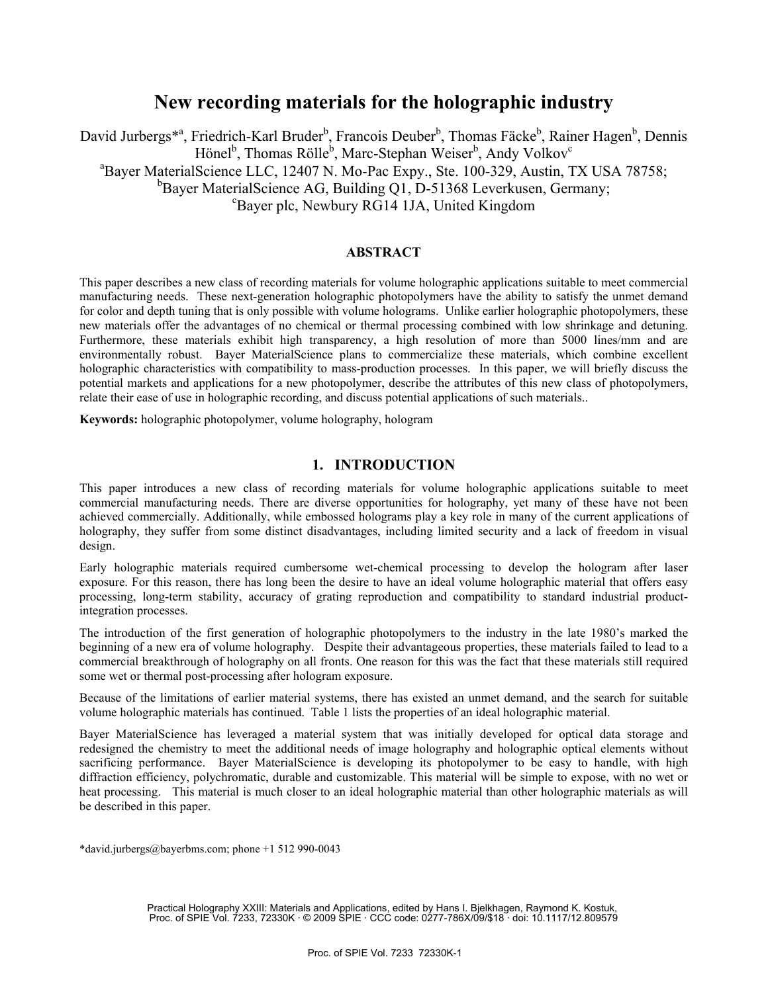# **New recording materials for the holographic industry**

David Jurbergs<sup>\*a</sup>, Friedrich-Karl Bruder<sup>b</sup>, Francois Deuber<sup>b</sup>, Thomas Fäcke<sup>b</sup>, Rainer Hagen<sup>b</sup>, Dennis Hönel<sup>b</sup>, Thomas Rölle<sup>b</sup>, Marc-Stephan Weiser<sup>b</sup>, Andy Volkov<sup>c</sup> <sup>a</sup>Bayer MaterialScience LLC, 12407 N. Mo-Pac Expy., Ste. 100-329, Austin, TX USA 78758;  ${}^{b}$ Bayer MaterialScience AG, Building Q1, D-51368 Leverkusen, Germany; Bayer plc, Newbury RG14 1JA, United Kingdom

## **ABSTRACT**

This paper describes a new class of recording materials for volume holographic applications suitable to meet commercial manufacturing needs. These next-generation holographic photopolymers have the ability to satisfy the unmet demand for color and depth tuning that is only possible with volume holograms. Unlike earlier holographic photopolymers, these new materials offer the advantages of no chemical or thermal processing combined with low shrinkage and detuning. Furthermore, these materials exhibit high transparency, a high resolution of more than 5000 lines/mm and are environmentally robust. Bayer MaterialScience plans to commercialize these materials, which combine excellent holographic characteristics with compatibility to mass-production processes. In this paper, we will briefly discuss the potential markets and applications for a new photopolymer, describe the attributes of this new class of photopolymers, relate their ease of use in holographic recording, and discuss potential applications of such materials..

**Keywords:** holographic photopolymer, volume holography, hologram

# **1. INTRODUCTION**

This paper introduces a new class of recording materials for volume holographic applications suitable to meet commercial manufacturing needs. There are diverse opportunities for holography, yet many of these have not been achieved commercially. Additionally, while embossed holograms play a key role in many of the current applications of holography, they suffer from some distinct disadvantages, including limited security and a lack of freedom in visual design.

Early holographic materials required cumbersome wet-chemical processing to develop the hologram after laser exposure. For this reason, there has long been the desire to have an ideal volume holographic material that offers easy processing, long-term stability, accuracy of grating reproduction and compatibility to standard industrial productintegration processes.

The introduction of the first generation of holographic photopolymers to the industry in the late 1980's marked the beginning of a new era of volume holography. Despite their advantageous properties, these materials failed to lead to a commercial breakthrough of holography on all fronts. One reason for this was the fact that these materials still required some wet or thermal post-processing after hologram exposure.

Because of the limitations of earlier material systems, there has existed an unmet demand, and the search for suitable volume holographic materials has continued. Table 1 lists the properties of an ideal holographic material.

Bayer MaterialScience has leveraged a material system that was initially developed for optical data storage and redesigned the chemistry to meet the additional needs of image holography and holographic optical elements without sacrificing performance. Bayer MaterialScience is developing its photopolymer to be easy to handle, with high diffraction efficiency, polychromatic, durable and customizable. This material will be simple to expose, with no wet or heat processing. This material is much closer to an ideal holographic material than other holographic materials as will be described in this paper.

\*david.jurbergs@bayerbms.com; phone +1 512 990-0043

Practical Holography XXIII: Materials and Applications, edited by Hans I. Bjelkhagen, Raymond K. Kostuk, Proc. of SPIE Vol. 7233, 72330K · © 2009 SPIE · CCC code: 0277-786X/09/\$18 · doi: 10.1117/12.809579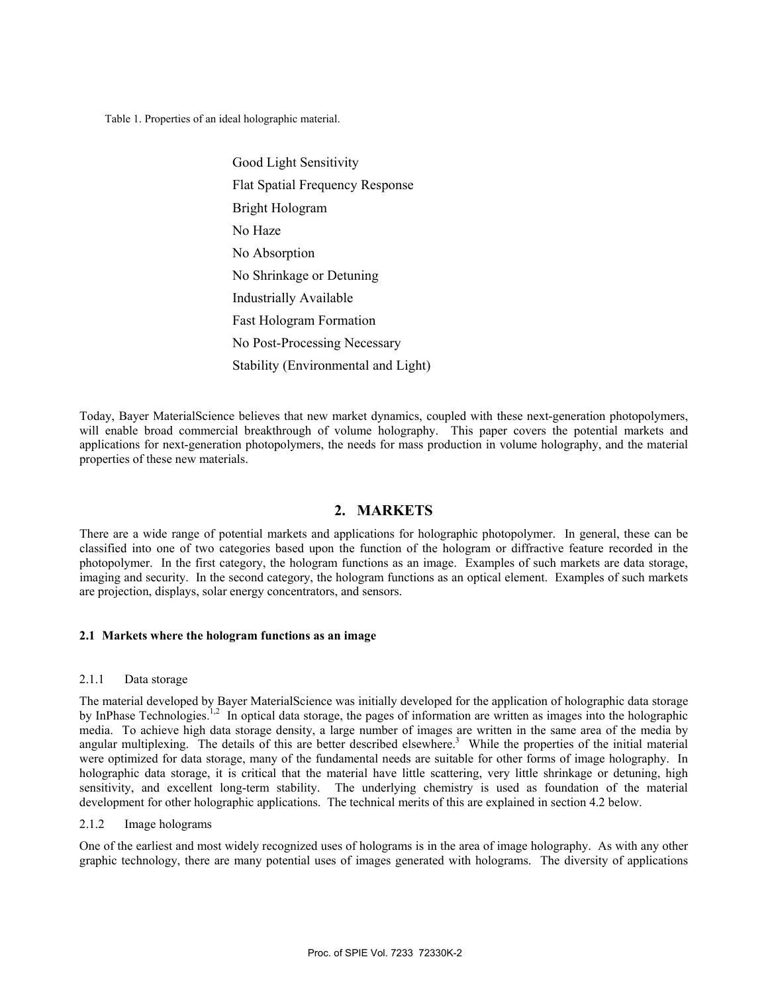Table 1. Properties of an ideal holographic material.

Good Light Sensitivity Flat Spatial Frequency Response Bright Hologram No Haze No Absorption No Shrinkage or Detuning Industrially Available Fast Hologram Formation No Post-Processing Necessary Stability (Environmental and Light)

Today, Bayer MaterialScience believes that new market dynamics, coupled with these next-generation photopolymers, will enable broad commercial breakthrough of volume holography. This paper covers the potential markets and applications for next-generation photopolymers, the needs for mass production in volume holography, and the material properties of these new materials.

# **2. MARKETS**

There are a wide range of potential markets and applications for holographic photopolymer. In general, these can be classified into one of two categories based upon the function of the hologram or diffractive feature recorded in the photopolymer. In the first category, the hologram functions as an image. Examples of such markets are data storage, imaging and security. In the second category, the hologram functions as an optical element. Examples of such markets are projection, displays, solar energy concentrators, and sensors.

#### **2.1 Markets where the hologram functions as an image**

#### 2.1.1 Data storage

The material developed by Bayer MaterialScience was initially developed for the application of holographic data storage by InPhase Technologies.<sup>1,2</sup> In optical data storage, the pages of information are written as images into the holographic media. To achieve high data storage density, a large number of images are written in the same area of the media by angular multiplexing. The details of this are better described elsewhere.<sup>3</sup> While the properties of the initial material were optimized for data storage, many of the fundamental needs are suitable for other forms of image holography. In holographic data storage, it is critical that the material have little scattering, very little shrinkage or detuning, high sensitivity, and excellent long-term stability. The underlying chemistry is used as foundation of the material development for other holographic applications. The technical merits of this are explained in section 4.2 below.

#### 2.1.2 Image holograms

One of the earliest and most widely recognized uses of holograms is in the area of image holography. As with any other graphic technology, there are many potential uses of images generated with holograms. The diversity of applications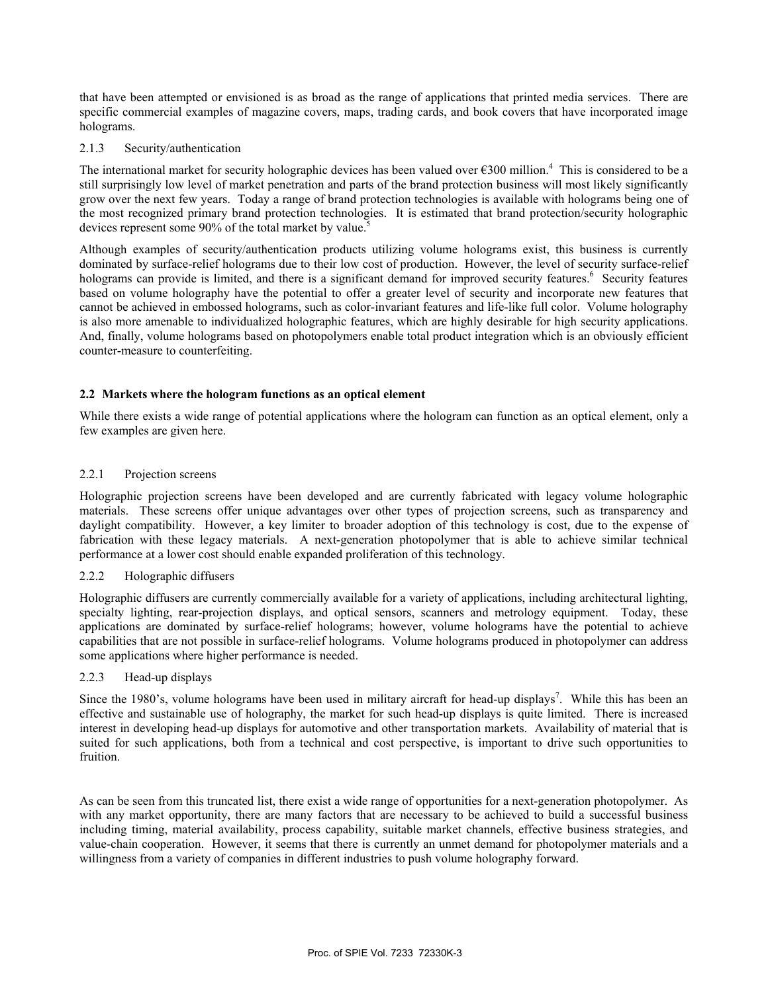that have been attempted or envisioned is as broad as the range of applications that printed media services. There are specific commercial examples of magazine covers, maps, trading cards, and book covers that have incorporated image holograms.

#### 2.1.3 Security/authentication

The international market for security holographic devices has been valued over  $\epsilon$ 300 million.<sup>4</sup> This is considered to be a still surprisingly low level of market penetration and parts of the brand protection business will most likely significantly grow over the next few years. Today a range of brand protection technologies is available with holograms being one of the most recognized primary brand protection technologies. It is estimated that brand protection/security holographic devices represent some 90% of the total market by value.<sup>5</sup>

Although examples of security/authentication products utilizing volume holograms exist, this business is currently dominated by surface-relief holograms due to their low cost of production. However, the level of security surface-relief holograms can provide is limited, and there is a significant demand for improved security features.<sup>6</sup> Security features based on volume holography have the potential to offer a greater level of security and incorporate new features that cannot be achieved in embossed holograms, such as color-invariant features and life-like full color. Volume holography is also more amenable to individualized holographic features, which are highly desirable for high security applications. And, finally, volume holograms based on photopolymers enable total product integration which is an obviously efficient counter-measure to counterfeiting.

### **2.2 Markets where the hologram functions as an optical element**

While there exists a wide range of potential applications where the hologram can function as an optical element, only a few examples are given here.

#### 2.2.1 Projection screens

Holographic projection screens have been developed and are currently fabricated with legacy volume holographic materials. These screens offer unique advantages over other types of projection screens, such as transparency and daylight compatibility. However, a key limiter to broader adoption of this technology is cost, due to the expense of fabrication with these legacy materials. A next-generation photopolymer that is able to achieve similar technical performance at a lower cost should enable expanded proliferation of this technology.

## 2.2.2 Holographic diffusers

Holographic diffusers are currently commercially available for a variety of applications, including architectural lighting, specialty lighting, rear-projection displays, and optical sensors, scanners and metrology equipment. Today, these applications are dominated by surface-relief holograms; however, volume holograms have the potential to achieve capabilities that are not possible in surface-relief holograms. Volume holograms produced in photopolymer can address some applications where higher performance is needed.

#### 2.2.3 Head-up displays

Since the 1980's, volume holograms have been used in military aircraft for head-up displays<sup>7</sup>. While this has been an effective and sustainable use of holography, the market for such head-up displays is quite limited. There is increased interest in developing head-up displays for automotive and other transportation markets. Availability of material that is suited for such applications, both from a technical and cost perspective, is important to drive such opportunities to fruition.

As can be seen from this truncated list, there exist a wide range of opportunities for a next-generation photopolymer. As with any market opportunity, there are many factors that are necessary to be achieved to build a successful business including timing, material availability, process capability, suitable market channels, effective business strategies, and value-chain cooperation. However, it seems that there is currently an unmet demand for photopolymer materials and a willingness from a variety of companies in different industries to push volume holography forward.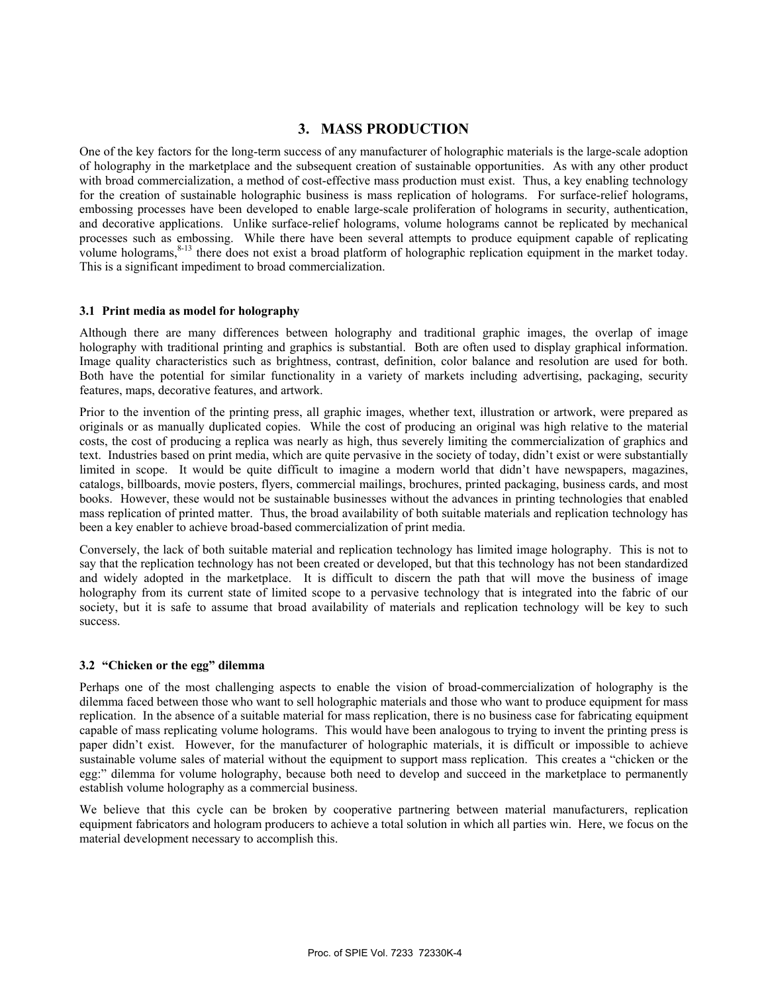# **3. MASS PRODUCTION**

One of the key factors for the long-term success of any manufacturer of holographic materials is the large-scale adoption of holography in the marketplace and the subsequent creation of sustainable opportunities. As with any other product with broad commercialization, a method of cost-effective mass production must exist. Thus, a key enabling technology for the creation of sustainable holographic business is mass replication of holograms. For surface-relief holograms, embossing processes have been developed to enable large-scale proliferation of holograms in security, authentication, and decorative applications. Unlike surface-relief holograms, volume holograms cannot be replicated by mechanical processes such as embossing. While there have been several attempts to produce equipment capable of replicating volume holograms,<sup>8-13</sup> there does not exist a broad platform of holographic replication equipment in the market today. This is a significant impediment to broad commercialization.

#### **3.1 Print media as model for holography**

Although there are many differences between holography and traditional graphic images, the overlap of image holography with traditional printing and graphics is substantial. Both are often used to display graphical information. Image quality characteristics such as brightness, contrast, definition, color balance and resolution are used for both. Both have the potential for similar functionality in a variety of markets including advertising, packaging, security features, maps, decorative features, and artwork.

Prior to the invention of the printing press, all graphic images, whether text, illustration or artwork, were prepared as originals or as manually duplicated copies. While the cost of producing an original was high relative to the material costs, the cost of producing a replica was nearly as high, thus severely limiting the commercialization of graphics and text. Industries based on print media, which are quite pervasive in the society of today, didn't exist or were substantially limited in scope. It would be quite difficult to imagine a modern world that didn't have newspapers, magazines, catalogs, billboards, movie posters, flyers, commercial mailings, brochures, printed packaging, business cards, and most books. However, these would not be sustainable businesses without the advances in printing technologies that enabled mass replication of printed matter. Thus, the broad availability of both suitable materials and replication technology has been a key enabler to achieve broad-based commercialization of print media.

Conversely, the lack of both suitable material and replication technology has limited image holography. This is not to say that the replication technology has not been created or developed, but that this technology has not been standardized and widely adopted in the marketplace. It is difficult to discern the path that will move the business of image holography from its current state of limited scope to a pervasive technology that is integrated into the fabric of our society, but it is safe to assume that broad availability of materials and replication technology will be key to such success.

### **3.2 "Chicken or the egg" dilemma**

Perhaps one of the most challenging aspects to enable the vision of broad-commercialization of holography is the dilemma faced between those who want to sell holographic materials and those who want to produce equipment for mass replication. In the absence of a suitable material for mass replication, there is no business case for fabricating equipment capable of mass replicating volume holograms. This would have been analogous to trying to invent the printing press is paper didn't exist. However, for the manufacturer of holographic materials, it is difficult or impossible to achieve sustainable volume sales of material without the equipment to support mass replication. This creates a "chicken or the egg:" dilemma for volume holography, because both need to develop and succeed in the marketplace to permanently establish volume holography as a commercial business.

We believe that this cycle can be broken by cooperative partnering between material manufacturers, replication equipment fabricators and hologram producers to achieve a total solution in which all parties win. Here, we focus on the material development necessary to accomplish this.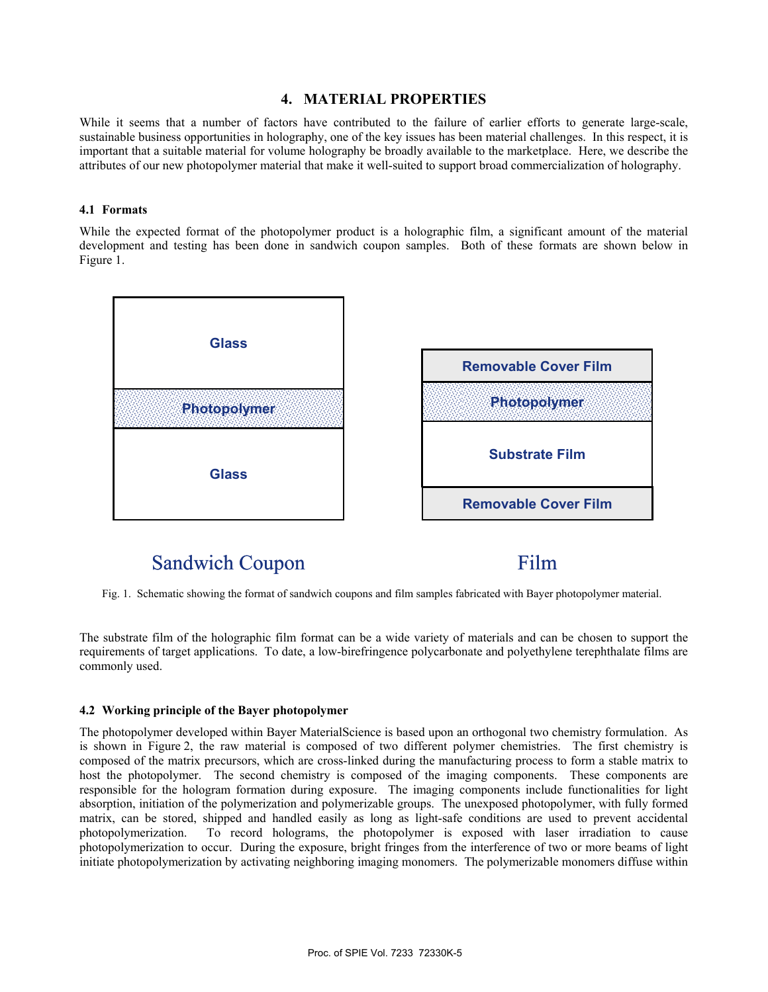# **4. MATERIAL PROPERTIES**

While it seems that a number of factors have contributed to the failure of earlier efforts to generate large-scale, sustainable business opportunities in holography, one of the key issues has been material challenges. In this respect, it is important that a suitable material for volume holography be broadly available to the marketplace. Here, we describe the attributes of our new photopolymer material that make it well-suited to support broad commercialization of holography.

#### **4.1 Formats**

While the expected format of the photopolymer product is a holographic film, a significant amount of the material development and testing has been done in sandwich coupon samples. Both of these formats are shown below in Figure 1.



# Sandwich Coupon Film

Fig. 1. Schematic showing the format of sandwich coupons and film samples fabricated with Bayer photopolymer material.

The substrate film of the holographic film format can be a wide variety of materials and can be chosen to support the requirements of target applications. To date, a low-birefringence polycarbonate and polyethylene terephthalate films are commonly used.

#### **4.2 Working principle of the Bayer photopolymer**

The photopolymer developed within Bayer MaterialScience is based upon an orthogonal two chemistry formulation. As is shown in Figure 2, the raw material is composed of two different polymer chemistries. The first chemistry is composed of the matrix precursors, which are cross-linked during the manufacturing process to form a stable matrix to host the photopolymer. The second chemistry is composed of the imaging components. These components are responsible for the hologram formation during exposure. The imaging components include functionalities for light absorption, initiation of the polymerization and polymerizable groups. The unexposed photopolymer, with fully formed matrix, can be stored, shipped and handled easily as long as light-safe conditions are used to prevent accidental photopolymerization. To record holograms, the photopolymer is exposed with laser irradiation to cause photopolymerization to occur. During the exposure, bright fringes from the interference of two or more beams of light initiate photopolymerization by activating neighboring imaging monomers. The polymerizable monomers diffuse within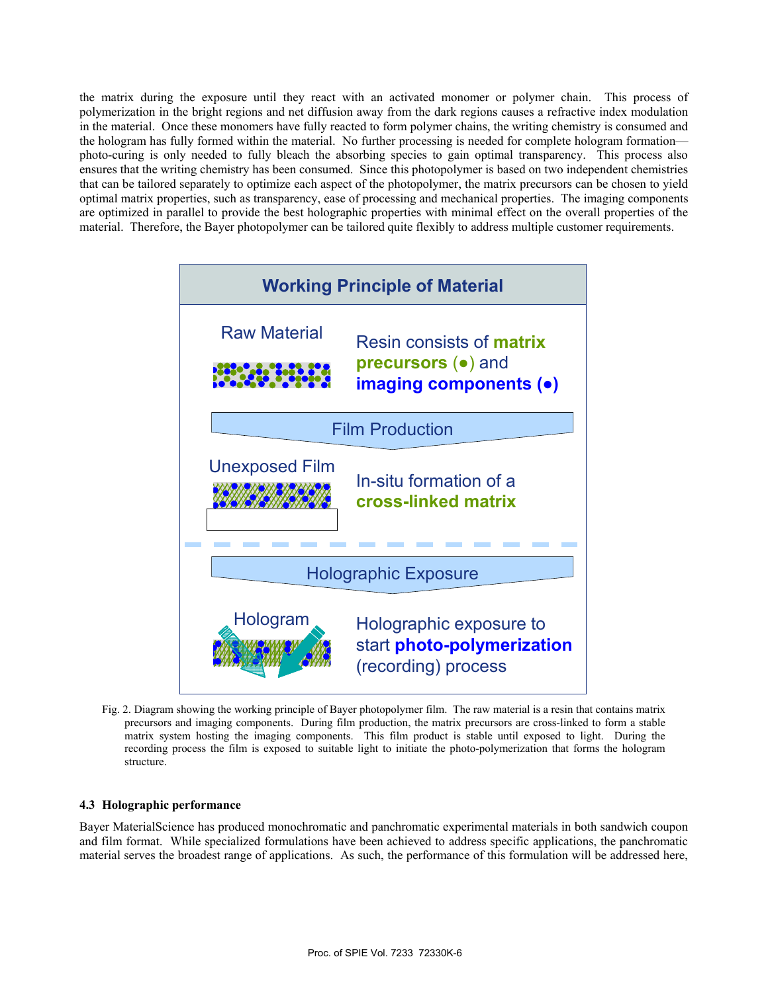the matrix during the exposure until they react with an activated monomer or polymer chain. This process of polymerization in the bright regions and net diffusion away from the dark regions causes a refractive index modulation in the material. Once these monomers have fully reacted to form polymer chains, the writing chemistry is consumed and the hologram has fully formed within the material. No further processing is needed for complete hologram formation photo-curing is only needed to fully bleach the absorbing species to gain optimal transparency. This process also ensures that the writing chemistry has been consumed. Since this photopolymer is based on two independent chemistries that can be tailored separately to optimize each aspect of the photopolymer, the matrix precursors can be chosen to yield optimal matrix properties, such as transparency, ease of processing and mechanical properties. The imaging components are optimized in parallel to provide the best holographic properties with minimal effect on the overall properties of the material. Therefore, the Bayer photopolymer can be tailored quite flexibly to address multiple customer requirements.



Fig. 2. Diagram showing the working principle of Bayer photopolymer film. The raw material is a resin that contains matrix precursors and imaging components. During film production, the matrix precursors are cross-linked to form a stable matrix system hosting the imaging components. This film product is stable until exposed to light. During the recording process the film is exposed to suitable light to initiate the photo-polymerization that forms the hologram structure.

#### **4.3 Holographic performance**

Bayer MaterialScience has produced monochromatic and panchromatic experimental materials in both sandwich coupon and film format. While specialized formulations have been achieved to address specific applications, the panchromatic material serves the broadest range of applications. As such, the performance of this formulation will be addressed here,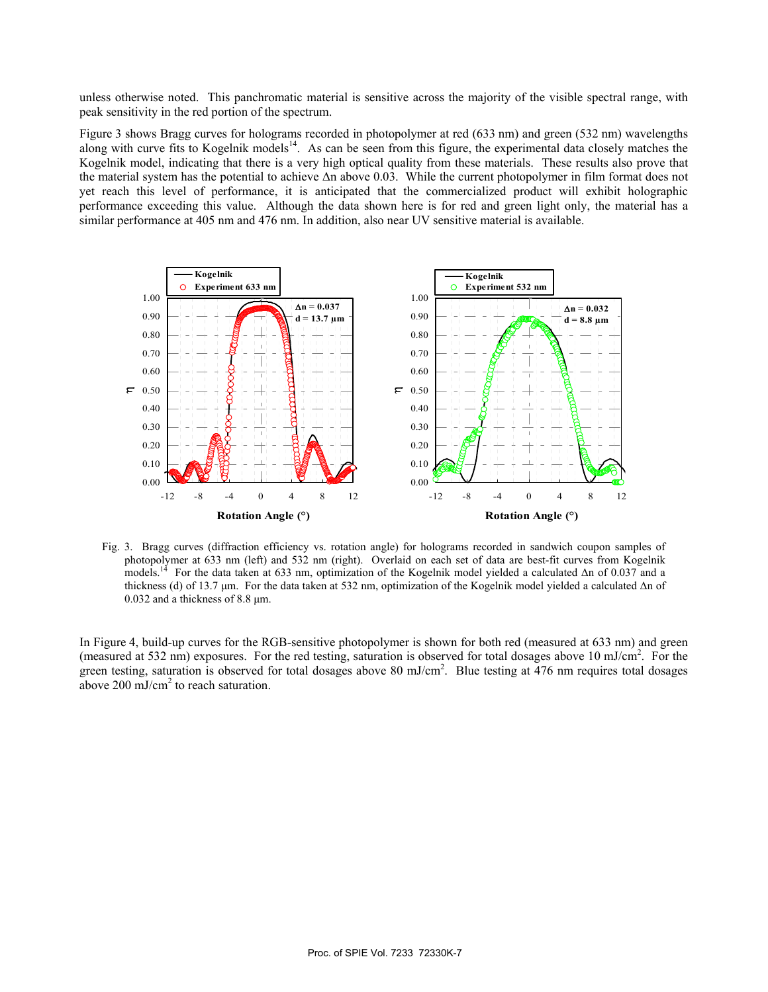unless otherwise noted. This panchromatic material is sensitive across the majority of the visible spectral range, with peak sensitivity in the red portion of the spectrum.

Figure 3 shows Bragg curves for holograms recorded in photopolymer at red (633 nm) and green (532 nm) wavelengths along with curve fits to Kogelnik models $14$ . As can be seen from this figure, the experimental data closely matches the Kogelnik model, indicating that there is a very high optical quality from these materials. These results also prove that the material system has the potential to achieve Δn above 0.03. While the current photopolymer in film format does not yet reach this level of performance, it is anticipated that the commercialized product will exhibit holographic performance exceeding this value. Although the data shown here is for red and green light only, the material has a similar performance at 405 nm and 476 nm. In addition, also near UV sensitive material is available.



Fig. 3. Bragg curves (diffraction efficiency vs. rotation angle) for holograms recorded in sandwich coupon samples of photopolymer at 633 nm (left) and 532 nm (right). Overlaid on each set of data are best-fit curves from Kogelnik models.<sup>14</sup> For the data taken at 633 nm, optimization of the Kogelnik model yielded a calculated  $\Delta$ n of 0.037 and a thickness (d) of 13.7 μm. For the data taken at 532 nm, optimization of the Kogelnik model yielded a calculated Δn of 0.032 and a thickness of 8.8 μm.

In Figure 4, build-up curves for the RGB-sensitive photopolymer is shown for both red (measured at 633 nm) and green (measured at 532 nm) exposures. For the red testing, saturation is observed for total dosages above 10 mJ/cm<sup>2</sup>. For the green testing, saturation is observed for total dosages above 80 mJ/cm<sup>2</sup>. Blue testing at 476 nm requires total dosages above  $200 \text{ mJ/cm}^2$  to reach saturation.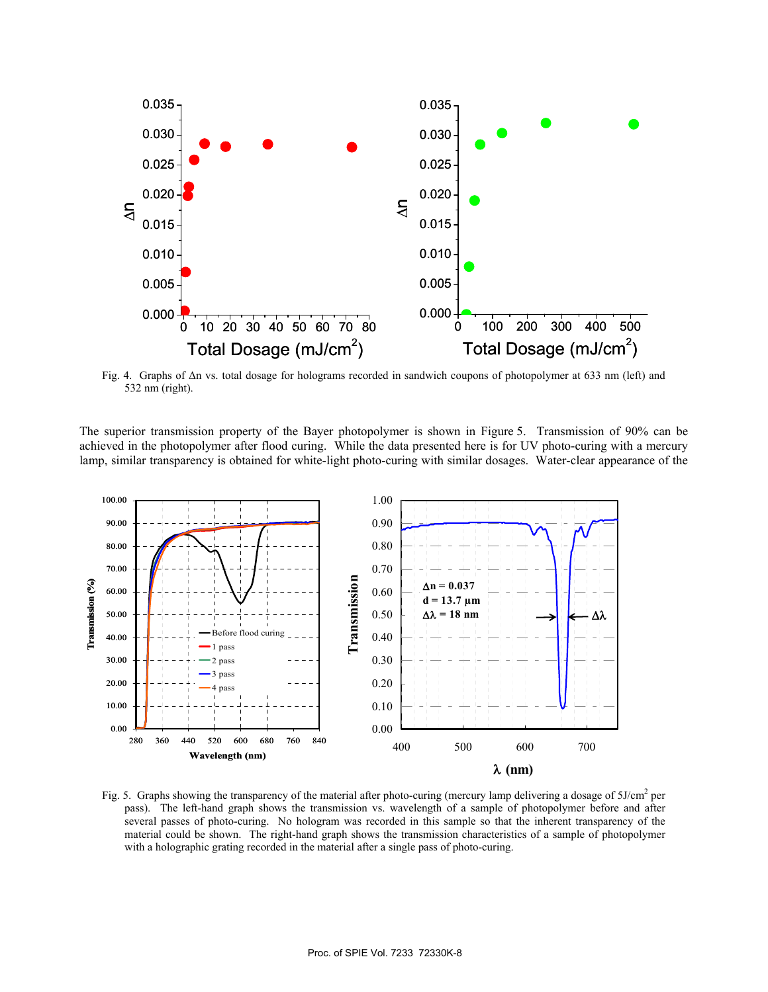

Fig. 4. Graphs of Δn vs. total dosage for holograms recorded in sandwich coupons of photopolymer at 633 nm (left) and 532 nm (right).

The superior transmission property of the Bayer photopolymer is shown in Figure 5. Transmission of 90% can be achieved in the photopolymer after flood curing. While the data presented here is for UV photo-curing with a mercury lamp, similar transparency is obtained for white-light photo-curing with similar dosages. Water-clear appearance of the



Fig. 5. Graphs showing the transparency of the material after photo-curing (mercury lamp delivering a dosage of  $5J/cm<sup>2</sup>$  per pass). The left-hand graph shows the transmission vs. wavelength of a sample of photopolymer before and after several passes of photo-curing. No hologram was recorded in this sample so that the inherent transparency of the material could be shown. The right-hand graph shows the transmission characteristics of a sample of photopolymer with a holographic grating recorded in the material after a single pass of photo-curing.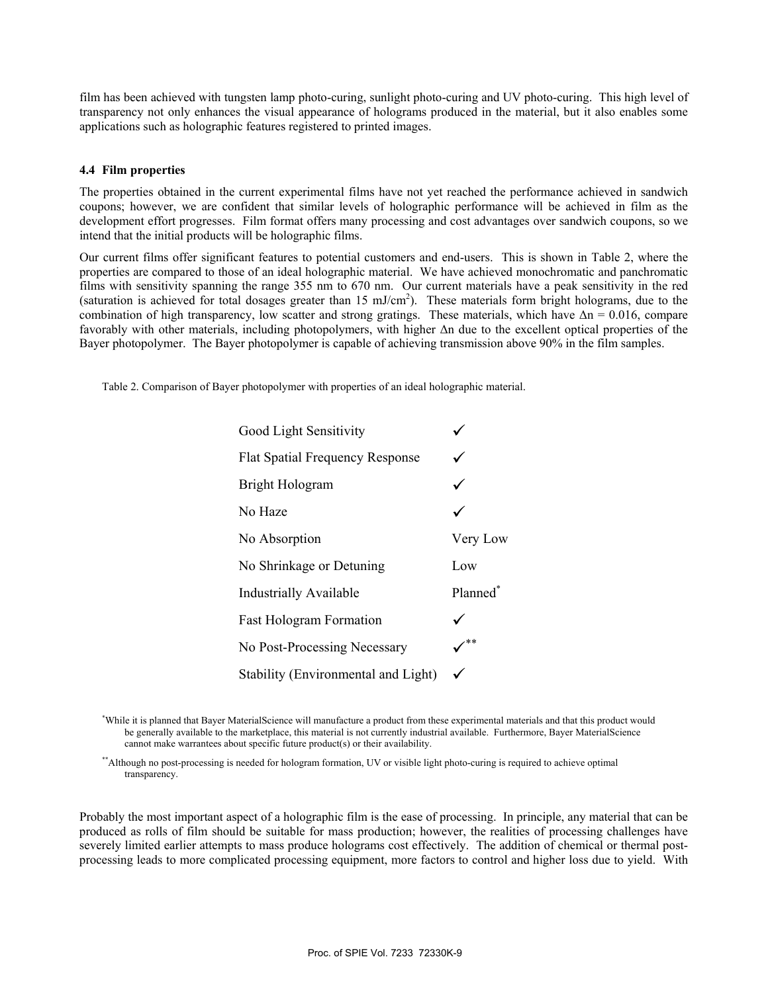film has been achieved with tungsten lamp photo-curing, sunlight photo-curing and UV photo-curing. This high level of transparency not only enhances the visual appearance of holograms produced in the material, but it also enables some applications such as holographic features registered to printed images.

#### **4.4 Film properties**

The properties obtained in the current experimental films have not yet reached the performance achieved in sandwich coupons; however, we are confident that similar levels of holographic performance will be achieved in film as the development effort progresses. Film format offers many processing and cost advantages over sandwich coupons, so we intend that the initial products will be holographic films.

Our current films offer significant features to potential customers and end-users. This is shown in Table 2, where the properties are compared to those of an ideal holographic material. We have achieved monochromatic and panchromatic films with sensitivity spanning the range 355 nm to 670 nm. Our current materials have a peak sensitivity in the red (saturation is achieved for total dosages greater than 15 mJ/cm2 ). These materials form bright holograms, due to the combination of high transparency, low scatter and strong gratings. These materials, which have  $\Delta n = 0.016$ , compare favorably with other materials, including photopolymers, with higher Δn due to the excellent optical properties of the Bayer photopolymer. The Bayer photopolymer is capable of achieving transmission above 90% in the film samples.

Table 2. Comparison of Bayer photopolymer with properties of an ideal holographic material.

| Good Light Sensitivity                 |                      |
|----------------------------------------|----------------------|
| <b>Flat Spatial Frequency Response</b> |                      |
| <b>Bright Hologram</b>                 | ✓                    |
| No Haze                                |                      |
| No Absorption                          | Very Low             |
| No Shrinkage or Detuning               | Low                  |
| <b>Industrially Available</b>          | Planned <sup>*</sup> |
| <b>Fast Hologram Formation</b>         |                      |
| No Post-Processing Necessary           | $* *$                |
| Stability (Environmental and Light)    |                      |

\* While it is planned that Bayer MaterialScience will manufacture a product from these experimental materials and that this product would be generally available to the marketplace, this material is not currently industrial available. Furthermore, Bayer MaterialScience cannot make warrantees about specific future product(s) or their availability.

\*\*Although no post-processing is needed for hologram formation, UV or visible light photo-curing is required to achieve optimal transparency.

Probably the most important aspect of a holographic film is the ease of processing. In principle, any material that can be produced as rolls of film should be suitable for mass production; however, the realities of processing challenges have severely limited earlier attempts to mass produce holograms cost effectively. The addition of chemical or thermal postprocessing leads to more complicated processing equipment, more factors to control and higher loss due to yield. With